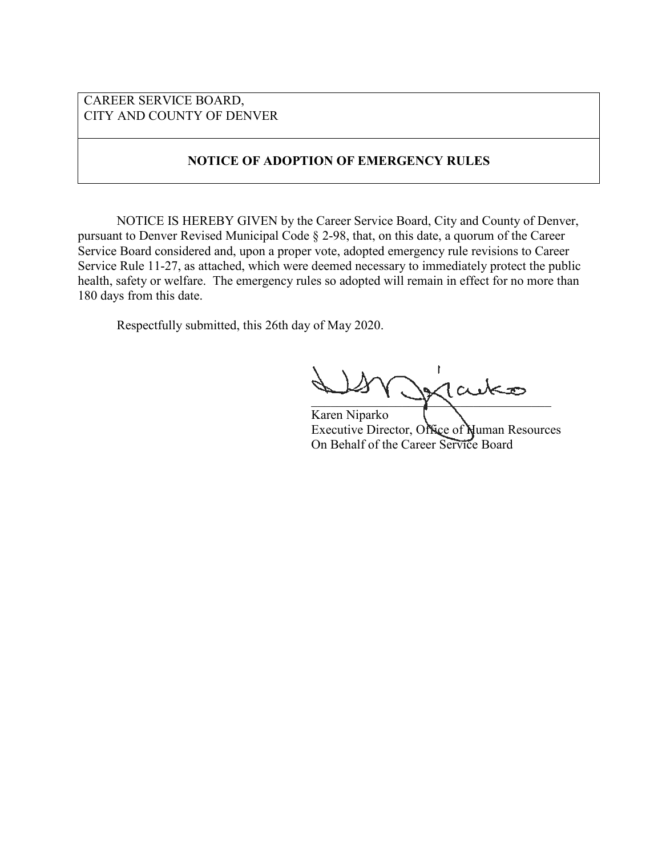## CAREER SERVICE BOARD, CITY AND COUNTY OF DENVER

## **NOTICE OF ADOPTION OF EMERGENCY RULES**

NOTICE IS HEREBY GIVEN by the Career Service Board, City and County of Denver, pursuant to Denver Revised Municipal Code § 2-98, that, on this date, a quorum of the Career Service Board considered and, upon a proper vote, adopted emergency rule revisions to Career Service Rule 11-27, as attached, which were deemed necessary to immediately protect the public health, safety or welfare. The emergency rules so adopted will remain in effect for no more than 180 days from this date.

Respectfully submitted, this 26th day of May 2020.

 $\chi$ lauko

Karen Niparko Executive Director, Office of Numan Resources On Behalf of the Career Service Board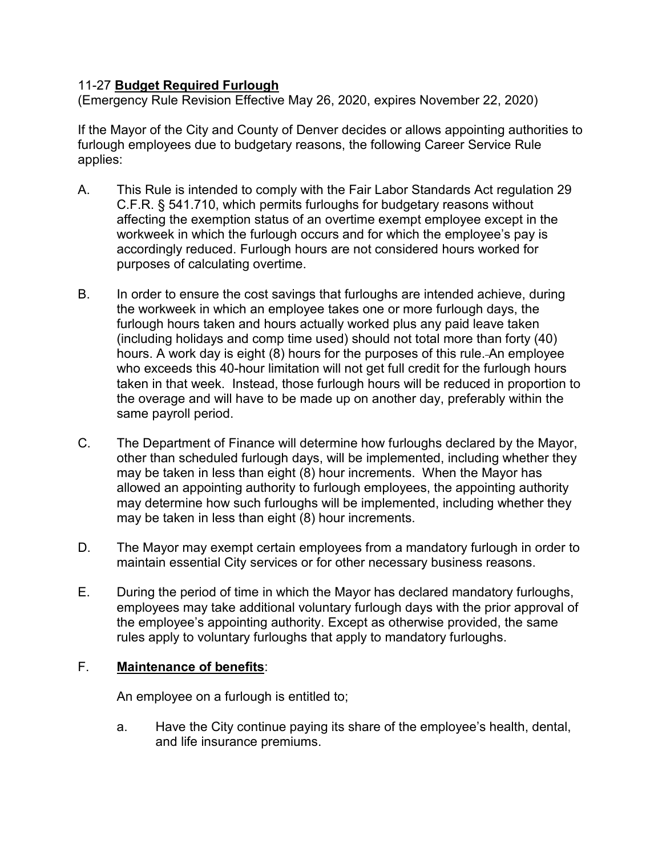## 11-27 **Budget Required Furlough**

(Emergency Rule Revision Effective May 26, 2020, expires November 22, 2020)

If the Mayor of the City and County of Denver decides or allows appointing authorities to furlough employees due to budgetary reasons, the following Career Service Rule applies:

- A. This Rule is intended to comply with the Fair Labor Standards Act regulation 29 C.F.R. § 541.710, which permits furloughs for budgetary reasons without affecting the exemption status of an overtime exempt employee except in the workweek in which the furlough occurs and for which the employee's pay is accordingly reduced. Furlough hours are not considered hours worked for purposes of calculating overtime.
- B. In order to ensure the cost savings that furloughs are intended achieve, during the workweek in which an employee takes one or more furlough days, the furlough hours taken and hours actually worked plus any paid leave taken (including holidays and comp time used) should not total more than forty (40) hours. A work day is eight (8) hours for the purposes of this rule. An employee who exceeds this 40-hour limitation will not get full credit for the furlough hours taken in that week. Instead, those furlough hours will be reduced in proportion to the overage and will have to be made up on another day, preferably within the same payroll period.
- C. The Department of Finance will determine how furloughs declared by the Mayor, other than scheduled furlough days, will be implemented, including whether they may be taken in less than eight (8) hour increments. When the Mayor has allowed an appointing authority to furlough employees, the appointing authority may determine how such furloughs will be implemented, including whether they may be taken in less than eight (8) hour increments.
- D. The Mayor may exempt certain employees from a mandatory furlough in order to maintain essential City services or for other necessary business reasons.
- E. During the period of time in which the Mayor has declared mandatory furloughs, employees may take additional voluntary furlough days with the prior approval of the employee's appointing authority. Except as otherwise provided, the same rules apply to voluntary furloughs that apply to mandatory furloughs.

## F. **Maintenance of benefits**:

An employee on a furlough is entitled to;

a. Have the City continue paying its share of the employee's health, dental, and life insurance premiums.